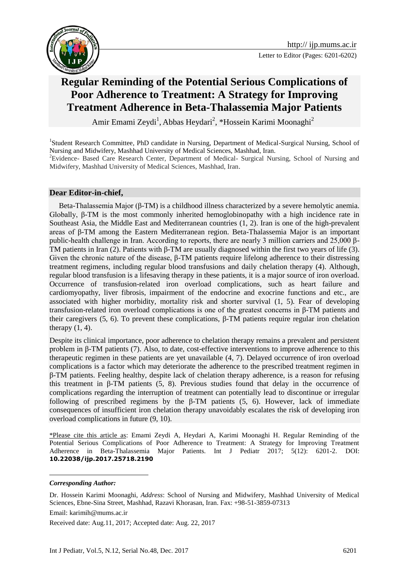

## **Regular Reminding of the Potential Serious Complications of Poor Adherence to Treatment: A Strategy for Improving Treatment Adherence in Beta-Thalassemia Major Patients**

Amir Emami Zeydi<sup>1</sup>, Abbas Heydari<sup>2</sup>, \*Hossein Karimi Moonaghi<sup>2</sup>

<sup>1</sup>Student Research Committee, PhD candidate in Nursing, Department of Medical-Surgical Nursing, School of Nursing and Midwifery, Mashhad University of Medical Sciences, Mashhad, Iran.

<sup>2</sup>Evidence- Based Care Research Center, Department of Medical- Surgical Nursing, School of Nursing and Midwifery, Mashhad University of Medical Sciences, Mashhad, Iran.

## **Dear Editor-in-chief,**

 Beta-Thalassemia Major (β-TM) is a childhood illness characterized by a severe hemolytic anemia. Globally, β-TM is the most commonly inherited hemoglobinopathy with a high incidence rate in Southeast Asia, the Middle East and Mediterranean countries (1, 2). Iran is one of the high-prevalent areas of β-TM among the Eastern Mediterranean region. Beta-Thalassemia Major is an important public-health challenge in Iran. According to reports, there are nearly 3 million carriers and 25,000 β-TM patients in Iran (2). Patients with β-TM are usually diagnosed within the first two years of life (3). Given the chronic nature of the disease, β-TM patients require lifelong adherence to their distressing treatment regimens, including regular blood transfusions and daily chelation therapy (4). Although, regular blood transfusion is a lifesaving therapy in these patients, it is a major source of iron overload. Occurrence of transfusion-related iron overload complications, such as heart failure and cardiomyopathy, liver fibrosis, impairment of the endocrine and exocrine functions and etc., are associated with higher morbidity, mortality risk and shorter survival (1, 5). Fear of developing transfusion-related iron overload complications is one of the greatest concerns in β-TM patients and their caregivers (5, 6). To prevent these complications,  $β$ -TM patients require regular iron chelation therapy  $(1, 4)$ .

Despite its clinical importance, poor adherence to chelation therapy remains a prevalent and persistent problem in β-TM patients (7). Also, to date, cost-effective interventions to improve adherence to this therapeutic regimen in these patients are yet unavailable (4, 7). Delayed occurrence of iron overload complications is a factor which may deteriorate the adherence to the prescribed treatment regimen in β-TM patients. Feeling healthy, despite lack of chelation therapy adherence, is a reason for refusing this treatment in β-TM patients (5, 8). Previous studies found that delay in the occurrence of complications regarding the interruption of treatment can potentially lead to discontinue or irregular following of prescribed regimens by the β-TM patients (5, 6). However, lack of immediate consequences of insufficient iron chelation therapy unavoidably escalates the risk of developing iron overload complications in future (9, 10).

\*Please cite this article as: Emami Zeydi A, Heydari A, Karimi Moonaghi H. Regular Reminding of the Potential Serious Complications of Poor Adherence to Treatment: A Strategy for Improving Treatment Adherence in Beta-Thalassemia Major Patients. Int J Pediatr 2017; 5(12): 6201-2. DOI: **10.22038/ijp.2017.25718.2190**

<u>.</u>

Received date: Aug.11, 2017; Accepted date: Aug. 22, 2017

*Corresponding Author:*

Dr. Hossein Karimi Moonaghi, *Address*: School of Nursing and Midwifery, Mashhad University of Medical Sciences, Ebne-Sina Street, Mashhad, Razavi Khorasan, Iran. Fax: +98-51-3859-07313 Email: karimih@mums.ac.ir